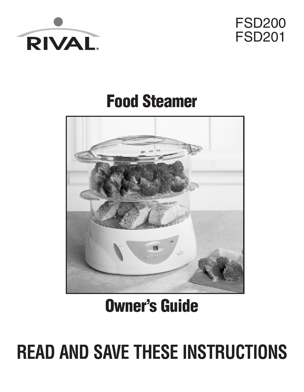



# **Food Steamer**



# **Owner's Guide**

# **READ AND SAVE THESE INSTRUCTIONS**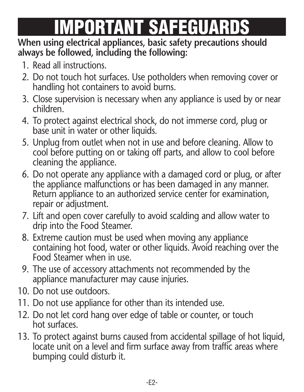# **IMPORTANT SAFEGUARDS**

#### **When using electrical appliances, basic safety precautions should always be followed, including the following:**

- 1. Read all instructions.
- 2. Do not touch hot surfaces. Use potholders when removing cover or handling hot containers to avoid burns.
- 3. Close supervision is necessary when any appliance is used by or near children.
- 4. To protect against electrical shock, do not immerse cord, plug or base unit in water or other liquids.
- 5. Unplug from outlet when not in use and before cleaning. Allow to cool before putting on or taking off parts, and allow to cool before cleaning the appliance.
- 6. Do not operate any appliance with a damaged cord or plug, or after the appliance malfunctions or has been damaged in any manner. Return appliance to an authorized service center for examination, repair or adjustment.
- 7. Lift and open cover carefully to avoid scalding and allow water to drip into the Food Steamer.
- 8. Extreme caution must be used when moving any appliance containing hot food, water or other liquids. Avoid reaching over the Food Steamer when in use.
- 9. The use of accessory attachments not recommended by the appliance manufacturer may cause injuries.
- 10. Do not use outdoors.
- 11. Do not use appliance for other than its intended use.
- 12. Do not let cord hang over edge of table or counter, or touch hot surfaces.
- 13. To protect against burns caused from accidental spillage of hot liquid, locate unit on a level and firm surface away from traffic areas where bumping could disturb it.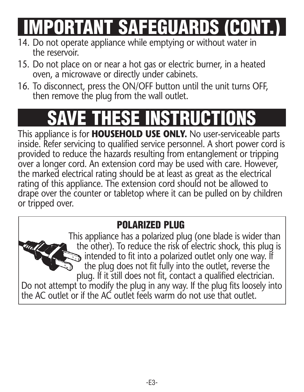**IMPORTANT SAFEGUARDS (CONT.)**

- 14. Do not operate appliance while emptying or without water in the reservoir.
- 15. Do not place on or near a hot gas or electric burner, in a heated oven, a microwave or directly under cabinets.
- 16. To disconnect, press the ON/OFF button until the unit turns OFF, then remove the plug from the wall outlet.

# **SAVE THESE INSTRUCTIONS**

This appliance is for **HOUSEHOLD USE ONLY.** No user-serviceable parts inside. Refer servicing to qualified service personnel. A short power cord is provided to reduce the hazards resulting from entanglement or tripping over a longer cord. An extension cord may be used with care. However, the marked electrical rating should be at least as great as the electrical rating of this appliance. The extension cord should not be allowed to drape over the counter or tabletop where it can be pulled on by children or tripped over.

### **POLARIZED PLUG**

This appliance has a polarized plug (one blade is wider than the other). To reduce the risk of electric shock, this plug is intended to fit into a polarized outlet only one way. If the plug does not fit fully into the outlet, reverse the plug. If it still does not fit, contact a qualified electrician. Do not attempt to modify the plug in any way. If the plug fits loosely into the AC outlet or if the AC outlet feels warm do not use that outlet.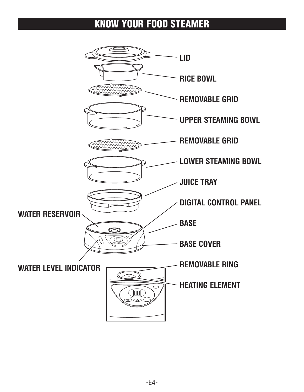### **KNOW YOUR FOOD STEAMER**

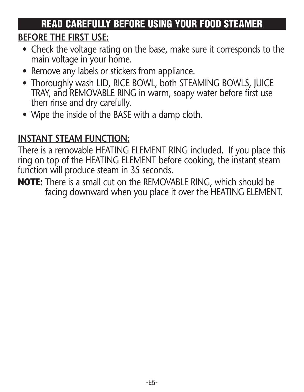# **READ CAREFULLY BEFORE USING YOUR FOOD STEAMER**

### **BEFORE THE FIRST USE:**

- Check the voltage rating on the base, make sure it corresponds to the main voltage in your home.
- Remove any labels or stickers from appliance.
- Thoroughly wash LID, RICE BOWL, both STEAMING BOWLS, JUICE TRAY, and REMOVABLE RING in warm, soapy water before first use then rinse and dry carefully.
- Wipe the inside of the BASE with a damp cloth.

## **INSTANT STEAM FUNCTION:**

There is a removable HEATING ELEMENT RING included. If you place this ring on top of the HEATING ELEMENT before cooking, the instant steam function will produce steam in 35 seconds.

**NOTE:** There is a small cut on the REMOVABLE RING, which should be facing downward when you place it over the HEATING ELEMENT.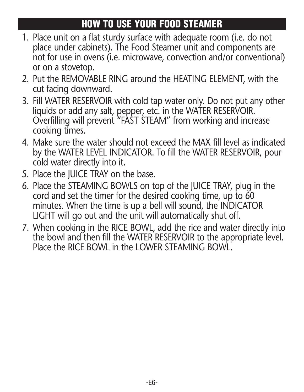## **HOW TO USE YOUR FOOD STEAMER**

- 1. Place unit on a flat sturdy surface with adequate room (i.e. do not place under cabinets). The Food Steamer unit and components are not for use in ovens (i.e. microwave, convection and/or conventional) or on a stovetop.
- 2. Put the REMOVABLE RING around the HEATING ELEMENT, with the cut facing downward.
- 3. Fill WATER RESERVOIR with cold tap water only. Do not put any other liquids or add any salt, pepper, etc. in the WATER RESERVOIR. Overfilling will prevent "FAST STEAM" from working and increase cooking times.
- 4. Make sure the water should not exceed the MAX fill level as indicated by the WATER LEVEL INDICATOR. To fill the WATER RESERVOIR, pour cold water directly into it.
- 5. Place the JUICE TRAY on the base.
- 6. Place the STEAMING BOWLS on top of the JUICE TRAY, plug in the cord and set the timer for the desired cooking time, up to 60 minutes. When the time is up a bell will sound, the INDICATOR LIGHT will go out and the unit will automatically shut off.
- 7. When cooking in the RICE BOWL, add the rice and water directly into the bowl and then fill the WATER RESERVOIR to the appropriate level. Place the RICE BOWL in the LOWER STEAMING BOWL.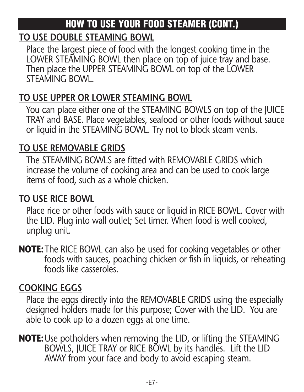# **HOW TO USE YOUR FOOD STEAMER (CONT.)**

#### **TO USE DOUBLE STEAMING BOWL**

Place the largest piece of food with the longest cooking time in the LOWER STEAMING BOWL then place on top of juice tray and base. Then place the UPPER STEAMING BOWL on top of the LOWER STEAMING BOWL.

### **TO USE UPPER OR LOWER STEAMING BOWL**

You can place either one of the STEAMING BOWLS on top of the JUICE TRAY and BASE. Place vegetables, seafood or other foods without sauce or liquid in the STEAMING BOWL. Try not to block steam vents.

#### **TO USE REMOVABLE GRIDS**

The STEAMING BOWLS are fitted with REMOVABLE GRIDS which increase the volume of cooking area and can be used to cook large items of food, such as a whole chicken.

### **TO USE RICE BOWL**

Place rice or other foods with sauce or liquid in RICE BOWL. Cover with the LID. Plug into wall outlet; Set timer. When food is well cooked, unplug unit.

**NOTE:**The RICE BOWL can also be used for cooking vegetables or other foods with sauces, poaching chicken or fish in liquids, or reheating foods like casseroles.

### **COOKING EGGS**

Place the eggs directly into the REMOVABLE GRIDS using the especially designed holders made for this purpose; Cover with the LID. You are able to cook up to a dozen eggs at one time.

**NOTE:**Use potholders when removing the LID, or lifting the STEAMING BOWLS, JUICE TRAY or RICE BOWL by its handles. Lift the LID AWAY from your face and body to avoid escaping steam.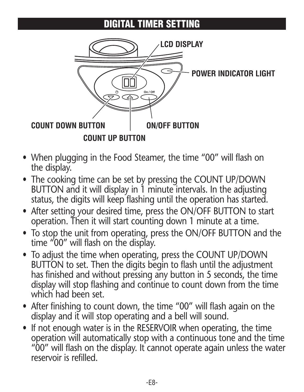### **DIGITAL TIMER SETTING**



- When plugging in the Food Steamer, the time "00" will flash on the display.
- The cooking time can be set by pressing the COUNT UP/DOWN BUTTON and it will display in 1 minute intervals. In the adjusting status, the digits will keep flashing until the operation has started.
- After setting your desired time, press the ON/OFF BUTTON to start operation. Then it will start counting down 1 minute at a time.
- To stop the unit from operating, press the ON/OFF BUTTON and the time "00" will flash on the display.
- To adjust the time when operating, press the COUNT UP/DOWN BUTTON to set. Then the digits begin to flash until the adjustment has finished and without pressing any button in 5 seconds, the time display will stop flashing and continue to count down from the time which had been set.
- After finishing to count down, the time "00" will flash again on the display and it will stop operating and a bell will sound.
- If not enough water is in the RESERVOIR when operating, the time operation will automatically stop with a continuous tone and the time "00" will flash on the display. It cannot operate again unless the water reservoir is refilled.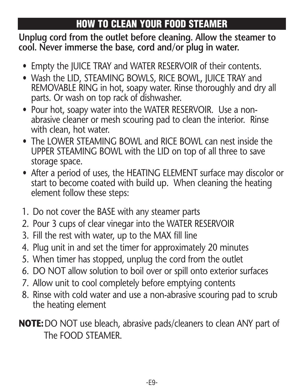# **HOW TO CLEAN YOUR FOOD STEAMER**

**Unplug cord from the outlet before cleaning. Allow the steamer to cool. Never immerse the base, cord and/or plug in water.**

- Empty the JUICE TRAY and WATER RESERVOIR of their contents.
- Wash the LID, STEAMING BOWLS, RICE BOWL, JUICE TRAY and REMOVABLE RING in hot, soapy water. Rinse thoroughly and dry all parts. Or wash on top rack of dishwasher.
- Pour hot, soapy water into the WATER RESERVOIR. Use a nonabrasive cleaner or mesh scouring pad to clean the interior. Rinse with clean, hot water.
- The LOWER STEAMING BOWL and RICE BOWL can nest inside the UPPER STEAMING BOWL with the LID on top of all three to save storage space.
- After a period of uses, the HEATING ELEMENT surface may discolor or start to become coated with build up. When cleaning the heating element follow these steps:
- 1. Do not cover the BASE with any steamer parts
- 2. Pour 3 cups of clear vinegar into the WATER RESERVOIR
- 3. Fill the rest with water, up to the MAX fill line
- 4. Plug unit in and set the timer for approximately 20 minutes
- 5. When timer has stopped, unplug the cord from the outlet
- 6. DO NOT allow solution to boil over or spill onto exterior surfaces
- 7. Allow unit to cool completely before emptying contents
- 8. Rinse with cold water and use a non-abrasive scouring pad to scrub the heating element

**NOTE:**DO NOT use bleach, abrasive pads/cleaners to clean ANY part of The FOOD STEAMER.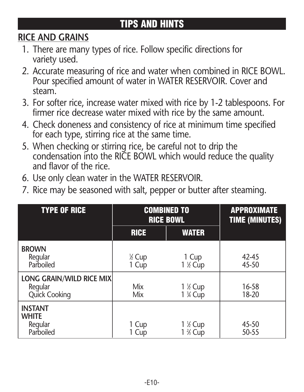# **TIPS AND HINTS**

### **RICE AND GRAINS**

- 1. There are many types of rice. Follow specific directions for variety used.
- 2. Accurate measuring of rice and water when combined in RICE BOWL. Pour specified amount of water in WATER RESERVOIR. Cover and steam.
- 3. For softer rice, increase water mixed with rice by 1-2 tablespoons. For firmer rice decrease water mixed with rice by the same amount.
- 4. Check doneness and consistency of rice at minimum time specified for each type, stirring rice at the same time.
- 5. When checking or stirring rice, be careful not to drip the condensation into the RICE BOWL which would reduce the quality and flavor of the rice.
- 6. Use only clean water in the WATER RESERVOIR.
- 7. Rice may be seasoned with salt, pepper or butter after steaming.

| <b>TYPE OF RICE</b>                                    | <b>COMBINED TO</b><br><b>RICE BOWL</b> |                                              | <b>APPROXIMATE</b><br>TIME (MINUTES) |
|--------------------------------------------------------|----------------------------------------|----------------------------------------------|--------------------------------------|
|                                                        | <b>RICE</b>                            | <b>WATER</b>                                 |                                      |
| <b>BROWN</b><br>Regular<br>Parboiled                   | 1/2 Cup<br>1 Cup                       | 1 Cup<br>1 % Cup                             | 42-45<br>45-50                       |
| LONG GRAIN/WILD RICE MIX<br>Regular<br>Quick Cooking   | Mix<br>Mix                             | 1 % Cup<br>1 <sup>3</sup> / <sub>4</sub> Cup | 16-58<br>18-20                       |
| <b>INSTANT</b><br><b>WHITE</b><br>Regular<br>Parboiled | 1 Cup<br>1 Cup                         | 1 % Cup<br>1 % Cup                           | 45-50<br>50-55                       |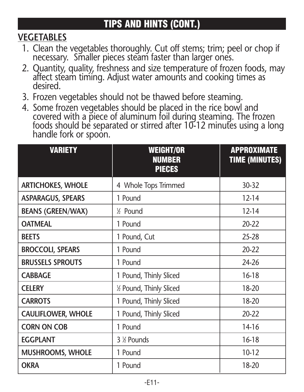### **VEGETABLES**

- 1. Clean the vegetables thoroughly. Cut off stems; trim; peel or chop if necessary. Smaller pieces steam faster than larger ones.
- 2. Quantity, quality, freshness and size temperature of frozen foods, may affect steam timing. Adjust water amounts and cooking times as desired.
- 3. Frozen vegetables should not be thawed before steaming.
- 4. Some frozen vegetables should be placed in the rice bowl and covered with a piece of aluminum foil during steaming. The frozen foods should be separated or stirred after 10-12 minutes using a long handle fork or spoon.

| <b>VARIETY</b>            | <b>WEIGHT/OR</b><br><b>NUMBER</b><br><b>PIECES</b> | <b>APPROXIMATE</b><br>TIME (MINUTES) |
|---------------------------|----------------------------------------------------|--------------------------------------|
| <b>ARTICHOKES, WHOLE</b>  | 4 Whole Tops Trimmed                               | 30-32                                |
| <b>ASPARAGUS, SPEARS</b>  | 1 Pound                                            | $12 - 14$                            |
| <b>BEANS (GREEN/WAX)</b>  | % Pound                                            | $12 - 14$                            |
| <b>OATMEAL</b>            | 1 Pound                                            | $20 - 22$                            |
| <b>BEETS</b>              | 1 Pound, Cut                                       | $25 - 28$                            |
| <b>BROCCOLI, SPEARS</b>   | 1 Pound                                            | $20 - 22$                            |
| <b>BRUSSELS SPROUTS</b>   | 1 Pound                                            | $74-76$                              |
| <b>CABBAGE</b>            | 1 Pound, Thinly Sliced                             | 16-18                                |
| <b>CELERY</b>             | 1/2 Pound, Thinly Sliced                           | 18-20                                |
| <b>CARROTS</b>            | 1 Pound, Thinly Sliced                             | 18-20                                |
| <b>CAULIFLOWER, WHOLE</b> | 1 Pound, Thinly Sliced                             | $20 - 22$                            |
| <b>CORN ON COB</b>        | 1 Pound                                            | 14-16                                |
| <b>EGGPLANT</b>           | 3 % Pounds                                         | 16-18                                |
| <b>MUSHROOMS, WHOLE</b>   | 1 Pound                                            | 10-12                                |
| <b>OKRA</b>               | 1 Pound                                            | 18-20                                |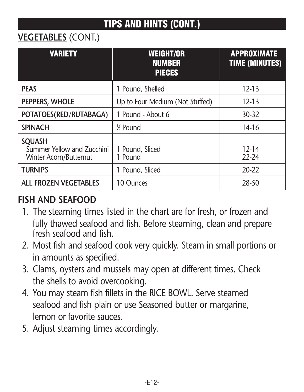### **VEGETABLES** (CONT.)

| <b>VARIETY</b>                                                        | <b>WEIGHT/OR</b><br><b>NUMBER</b><br><b>PIECES</b> | <b>APPROXIMATE</b><br><b>TIME (MINUTES)</b> |
|-----------------------------------------------------------------------|----------------------------------------------------|---------------------------------------------|
| <b>PFAS</b>                                                           | 1 Pound, Shelled                                   | $12 - 13$                                   |
| PEPPERS, WHOLE                                                        | Up to Four Medium (Not Stuffed)                    | 12-13                                       |
| POTATOES(RED/RUTABAGA)                                                | 1 Pound - About 6                                  | 30-32                                       |
| <b>SPINACH</b>                                                        | % Pound                                            | 14-16                                       |
| <b>SOUASH</b><br>Summer Yellow and Zucchini<br>Winter Acorn/Butternut | 1 Pound, Sliced<br>1 Pound                         | 12-14<br>$22 - 24$                          |
| <b>TURNIPS</b>                                                        | 1 Pound, Sliced                                    | $20 - 22$                                   |
| ALL FROZEN VEGETABLES                                                 | 10 Ounces                                          | 28-50                                       |

### **FISH AND SEAFOOD**

- 1. The steaming times listed in the chart are for fresh, or frozen and fully thawed seafood and fish. Before steaming, clean and prepare fresh seafood and fish.
- 2. Most fish and seafood cook very quickly. Steam in small portions or in amounts as specified.
- 3. Clams, oysters and mussels may open at different times. Check the shells to avoid overcooking.
- 4. You may steam fish fillets in the RICE BOWL. Serve steamed seafood and fish plain or use Seasoned butter or margarine, lemon or favorite sauces.
- 5. Adjust steaming times accordingly.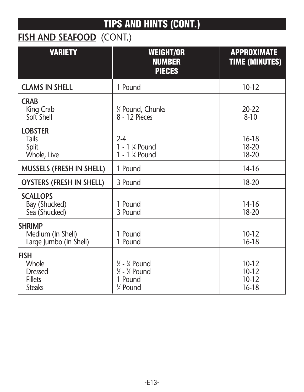# **FISH AND SEAFOOD** (CONT.)

| <b>VARIETY</b>                                                            | <b>WEIGHT/OR</b><br><b>NUMBER</b><br><b>PIECES</b>                                                 | <b>APPROXIMATE</b><br>TIME (MINUTES) |
|---------------------------------------------------------------------------|----------------------------------------------------------------------------------------------------|--------------------------------------|
| <b>CLAMS IN SHELL</b>                                                     | 1 Pound                                                                                            | $10 - 12$                            |
| <b>CRAB</b><br>King Crab<br>Soft Shell                                    | 1/2 Pound, Chunks<br>8 - 12 Pieces                                                                 | $20 - 22$<br>$8 - 10$                |
| <b>LOBSTER</b><br>Tails<br>Split<br>Whole, Live                           | $2 - 4$<br>1 - 1 % Pound<br>1 - 1 % Pound                                                          | 16-18<br>18-20<br>18-20              |
| MUSSELS (FRESH IN SHELL)                                                  | 1 Pound                                                                                            | 14-16                                |
| OYSTERS (FRESH IN SHELL)                                                  | 3 Pound                                                                                            | 18-20                                |
| <b>SCALLOPS</b><br>Bay (Shucked)<br>Sea (Shucked)                         | 1 Pound<br>3 Pound                                                                                 | 14-16<br>18-20                       |
| <b>SHRIMP</b><br>Medium (In Shell)<br>Large Jumbo (In Shell)              | 1 Pound<br>1 Pound                                                                                 | $10 - 12$<br>16-18                   |
| <b>FISH</b><br>Whole<br><b>Dressed</b><br><b>Fillets</b><br><b>Steaks</b> | $\frac{1}{6}$ - $\frac{3}{4}$ Pound<br>$\frac{1}{2}$ - $\frac{3}{4}$ Pound<br>1 Pound<br>1⁄4 Pound | 10-12<br>10-12<br>10-12<br>16-18     |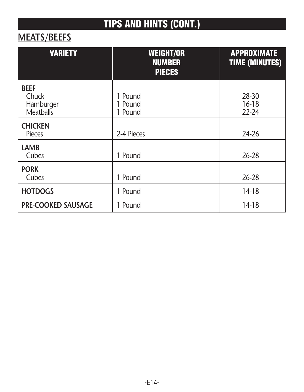### **MEATS/BEEFS**

| <b>VARIETY</b>                                 | <b>WEIGHT/OR</b><br><b>NUMBER</b><br><b>PIECES</b> | <b>APPROXIMATE</b><br><b>TIME (MINUTES)</b> |
|------------------------------------------------|----------------------------------------------------|---------------------------------------------|
| <b>BEEF</b><br>Chuck<br>Hamburger<br>Meatballs | 1 Pound<br>1 Pound<br>1 Pound                      | 28-30<br>16-18<br>22-24                     |
| <b>CHICKEN</b><br>Pieces                       | 2-4 Pieces                                         | 24-26                                       |
| LAMB<br>Cubes                                  | 1 Pound                                            | 26-28                                       |
| <b>PORK</b><br>Cubes                           | 1 Pound                                            | 26-28                                       |
| <b>HOTDOGS</b>                                 | 1 Pound                                            | 14-18                                       |
| <b>PRE-COOKED SAUSAGE</b>                      | 1 Pound                                            | 14-18                                       |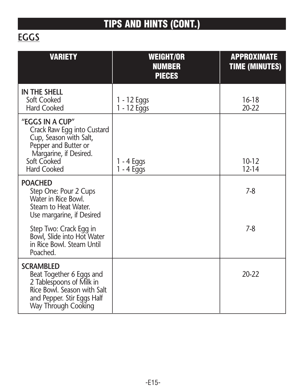# **EGGS**

| <b>VARIETY</b>                                                                                                                                                 | <b>WEIGHT/OR</b><br><b>NUMBER</b><br><b>PIECES</b> | <b>APPROXIMATE</b><br><b>TIME (MINUTES)</b> |
|----------------------------------------------------------------------------------------------------------------------------------------------------------------|----------------------------------------------------|---------------------------------------------|
| IN THE SHELL<br>Soft Cooked<br>Hard Cooked                                                                                                                     | 1 - 12 Eggs<br>1 - 12 Eggs                         | 16-18<br>$20 - 22$                          |
| "FGGS IN A CUP"<br>Crack Raw Egg into Custard<br>Cup, Season with Salt,<br>Pepper and Butter or<br>Margarine, if Desired.<br>Soft Cooked<br><b>Hard Cooked</b> | $1 - 4$ Eggs<br>$1 - 4$ Eggs                       | 10-12<br>12-14                              |
| <b>POACHED</b><br>Step One: Pour 2 Cups<br>Water in Rice Bowl.<br>Steam to Heat Water.<br>Use margarine, if Desired                                            |                                                    | 7-8                                         |
| Step Two: Crack Egg in<br>Bowl, Slide into Hot Water<br>in Rice Bowl. Steam Until<br>Poached.                                                                  |                                                    | $7-8$                                       |
| <b>SCRAMBLED</b><br>Beat Together 6 Eggs and<br>2 Tablespoons of Milk in<br>Rice Bowl. Season with Salt<br>and Pepper. Stir Eggs Half<br>Way Through Cooking   |                                                    | $20 - 22$                                   |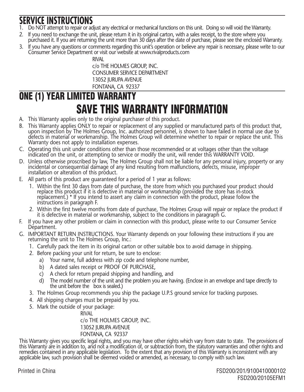- **SERVICE INSTRUCTIONS**<br>1. Do NOT attempt to repair or adjust any electrical or mechanical functions on this unit. Doing so will void the Warranty.
- 2. If you need to exchange the unit, please return it in its original carton, with a sales receipt, to the store where you purchased it. If you are returning the unit more than 30 days after the date of purchase, please see the enclosed Warranty.
- 3. If you have any questions or comments regarding this unit's operation or believe any repair is necessary, please write to our Consumer Service Department or visit our website at www.rivalproducts.com

RIVAL c/o THE HOLMES GROUP, INC. CONSUMER SERVICE DEPARTMENT 13052 JURUPA AVENUE FONTANA, CA 92337

# **ONE (1) YEAR LIMITED WARRANTY SAVE THIS WARRANTY INFORMATION**

- A. This Warranty applies only to the original purchaser of this product.
- B. This Warranty applies ONLY to repair or replacement of any supplied or manufactured parts of this product that, upon inspection by The Holmes Group, Inc. authorized personnel, is shown to have failed in normal use due to defects in material or workmanship. The Holmes Group will determine whether to repair or replace the unit. This Warranty does not apply to installation expenses.
- C. Operating this unit under conditions other than those recommended or at voltages other than the voltage indicated on the unit, or attempting to service or modify the unit, will render this WARRANTY VOID.
- D. Unless otherwise proscribed by law, The Holmes Group shall not be liable for any personal injury, property or any incidental or consequential damage of any kind resulting from malfunctions, defects, misuse, improper installation or alteration of this product.
- E. All parts of this product are guaranteed for a period of 1 year as follows:
	- 1. Within the first 30 days from date of purchase, the store from which you purchased your product should replace this product if it is defective in material or workmanship (provided the store has in-stock replace this product in its detective in intendies in connection with the product, please follow the replacement.) \* If you intend to assert any claim in connection with the product, please follow the instructions in paragraph F.
	- 2. Within the first twelve months from date of purchase, The Holmes Group will repair or replace the product if it is defective in material or workmanship, subject to the conditions in paragraph G.
- F. If you have any other problem or claim in connection with this product, please write to our Consumer Service Department.
- G. IMPORTANT RETURN INSTRUCTIONS. Your Warranty depends on your following these instructions if you are returning the unit to The Holmes Group, Inc.:
	- 1. Carefully pack the item in its original carton or other suitable box to avoid damage in shipping.
	- 2. Before packing your unit for return, be sure to enclose:
		- a) Your name, full address with zip code and telephone number,
		- b) A dated sales receipt or PROOF OF PURCHASE,
		- c) A check for return prepaid shipping and handling, and
		- d) The model number of the unit and the problem you are having. (Enclose in an envelope and tape directly to the unit before the box is sealed.)
	- 3. The Holmes Group recommends you ship the package U.P.S ground service for tracking purposes.
	- 4. All shipping charges must be prepaid by you.
	- 5. Mark the outside of your package:

RIVAL c/o THE HOLMES GROUP, INC. 13052 JURUPA AVENUE FONTANA, CA 92337

This Warranty gives you specific legal rights, and you may have other rights which vary from state to state. The provisions of this Warranty are in addition to, and not a modification of, or subtraction from, the statutory warranties and other rights and remedies contained in any applicable legislation. To the extent that any provision of this Warranty is inconsistent with any applicable law, such provision shall be deemed voided or amended, as necessary, to comply with such law.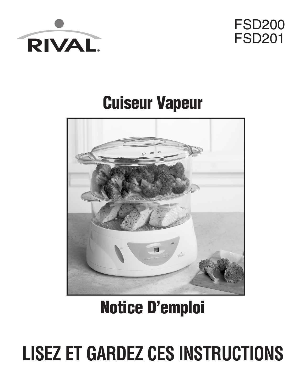



# **Cuiseur Vapeur**



# **Notice D'emploi**

# **LISEZ ET GARDEZ CES INSTRUCTIONS**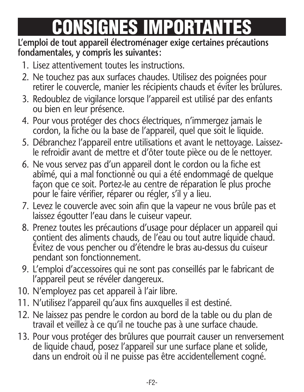# **CONSIGNES IMPORTANTES**

#### **L'emploi de tout appareil électroménager exige certaines précautions fondamentales, y compris les suivantes:**

- 1. Lisez attentivement toutes les instructions.
- 2. Ne touchez pas aux surfaces chaudes. Utilisez des poignées pour retirer le couvercle, manier les récipients chauds et éviter les brûlures.
- 3. Redoublez de vigilance lorsque l'appareil est utilisé par des enfants ou bien en leur présence.
- 4. Pour vous protéger des chocs électriques, n'immergez jamais le cordon, la fiche ou la base de l'appareil, quel que soit le liquide.
- 5. Débranchez l'appareil entre utilisations et avant le nettoyage. Laissez le refroidir avant de mettre et d'ôter toute pièce ou de le nettoyer.
- 6. Ne vous servez pas d'un appareil dont le cordon ou la fiche est abîmé, qui a mal fonctionné ou qui a été endommagé de quelque façon que ce soit. Portez-le au centre de réparation le plus proche pour le faire vérifier, réparer ou régler, s'il y a lieu.
- 7. Levez le couvercle avec soin afin que la vapeur ne vous brûle pas et laissez égoutter l'eau dans le cuiseur vapeur.
- 8. Prenez toutes les précautions d'usage pour déplacer un appareil qui contient des aliments chauds, de l'eau ou tout autre liquide chaud. Évitez de vous pencher ou d'étendre le bras au-dessus du cuiseur pendant son fonctionnement.
- 9. L'emploi d'accessoires qui ne sont pas conseillés par le fabricant de l'appareil peut se révéler dangereux.
- 10. N'employez pas cet appareil à l'air libre.
- 11. N'utilisez l'appareil qu'aux fins auxquelles il est destiné.
- 12. Ne laissez pas pendre le cordon au bord de la table ou du plan de travail et veillez à ce qu'il ne touche pas à une surface chaude.
- 13. Pour vous protéger des brûlures que pourrait causer un renversement de liquide chaud, posez l'appareil sur une surface plane et solide, dans un endroit où il ne puisse pas être accidentellement cogné.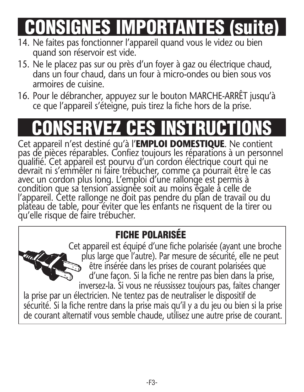**CONSIGNES IMPORTANTES (suite)**

- 14. Ne faites pas fonctionner l'appareil quand vous le videz ou bien quand son réservoir est vide.
- 15. Ne le placez pas sur ou près d'un foyer à gaz ou électrique chaud, dans un four chaud, dans un four à micro-ondes ou bien sous vos armoires de cuisine.
- 16. Pour le débrancher, appuyez sur le bouton MARCHE-ARRÊT jusqu'à ce que l'appareil s'éteigne, puis tirez la fiche hors de la prise.

# **CONSERVEZ CES INSTRUCTIONS**

Cet appareil n'est destiné qu'à l'**EMPLOI DOMESTIQUE**. Ne contient pas de pièces réparables. Confiez toujours les réparations à un personnel qualifié. Cet appareil est pourvu d'un cordon électrique court qui ne devrait ni s'emmêler ni faire trébucher, comme ça pourrait être le cas avec un cordon plus long. L'emploi d'une rallonge est permis à condition que sa tension assignée soit au moins égale à celle de l'appareil. Cette rallonge ne doit pas pendre du plan de travail ou du plateau de table, pour éviter que les enfants ne risquent de la tirer ou qu'elle risque de faire trébucher.

# **FICHE POLARISÉE**

Cet appareil est équipé d'une fiche polarisée (ayant une broche plus large que l'autre). Par mesure de sécurité, elle ne peut être insérée dans les prises de courant polarisées que d'une façon. Si la fiche ne rentre pas bien dans la prise, inversez-la. Si vous ne réussissez toujours pas, faites changer la prise par un électricien. Ne tentez pas de neutraliser le dispositif de sécurité. Si la fiche rentre dans la prise mais qu'il y a du jeu ou bien si la prise de courant alternatif vous semble chaude, utilisez une autre prise de courant.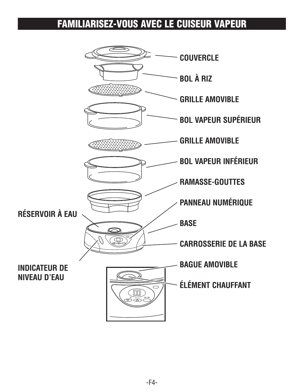### **FAMILIARISEZ-VOUS AVEC LE CUISEUR VAPEUR**

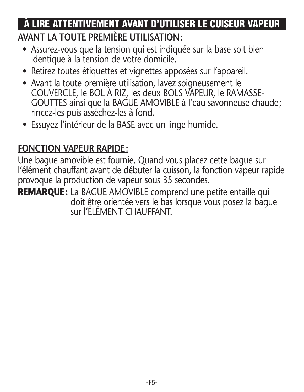### **AVANT LA TOUTE PREMIÈRE UTILISATION: À LIRE ATTENTIVEMENT AVANT D'UTILISER LE CUISEUR VAPEUR**

- Assurez-vous que la tension qui est indiquée sur la base soit bien identique à la tension de votre domicile.
- Retirez toutes étiquettes et vignettes apposées sur l'appareil.
- Avant la toute première utilisation, lavez soigneusement le COUVERCLE, le BOL À RIZ, les deux BOLS VAPEUR, le RAMASSE- GOUTTES ainsi que la BAGUE AMOVIBLE à l'eau savonneuse chaude; rincez-les puis asséchez-les à fond.
- Essuyez l'intérieur de la BASE avec un linge humide.

#### **FONCTION VAPEUR RAPIDE:**

Une bague amovible est fournie. Quand vous placez cette bague sur l'élément chauffant avant de débuter la cuisson, la fonction vapeur rapide provoque la production de vapeur sous 35 secondes.

**REMARQUE:** La BAGUE AMOVIBLE comprend une petite entaille qui doit être orientée vers le bas lorsque vous posez la bague sur l'ÉLÉMENT CHAUFFANT.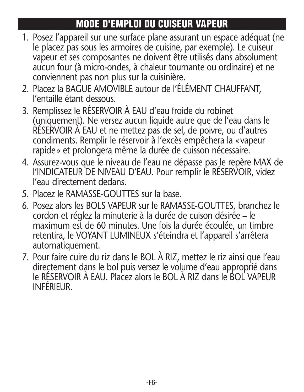# **MODE D'EMPLOI DU CUISEUR VAPEUR**

- 1. Posez l'appareil sur une surface plane assurant un espace adéquat (ne le placez pas sous les armoires de cuisine, par exemple). Le cuiseur vapeur et ses composantes ne doivent être utilisés dans absolument aucun four (à micro-ondes, à chaleur tournante ou ordinaire) et ne conviennent pas non plus sur la cuisinière.
- 2. Placez la BAGUE AMOVIBLE autour de l'ÉLÉMENT CHAUFFANT, l'entaille étant dessous.
- 3. Remplissez le RÉSERVOIR À EAU d'eau froide du robinet (uniquement). Ne versez aucun liquide autre que de l'eau dans le RÉSERVOIR À EAU et ne mettez pas de sel, de poivre, ou d'autres condiments. Remplir le réservoir à l'excès empêchera la «vapeur rapide» et prolongera même la durée de cuisson nécessaire.
- 4. Assurez-vous que le niveau de l'eau ne dépasse pas le repère MAX de l'INDICATEUR DE NIVEAU D'EAU. Pour remplir le RÉSERVOIR, videz l'eau directement dedans.
- 5. Placez le RAMASSE-GOUTTES sur la base.
- 6. Posez alors les BOLS VAPEUR sur le RAMASSE-GOUTTES, branchez le cordon et réglez la minuterie à la durée de cuison désirée – le maximum est de 60 minutes. Une fois la durée écoulée, un timbre retentira, le VOYANT LUMINEUX s'éteindra et l'appareil s'arrêtera automatiquement.
- 7. Pour faire cuire du riz dans le BOL À RIZ, mettez le riz ainsi que l'eau directement dans le bol puis versez le volume d'eau approprié dans le RÉSERVOIR À EAU. Placez alors le BOL À RIZ dans le BOL VAPEUR INFÉRIEUR.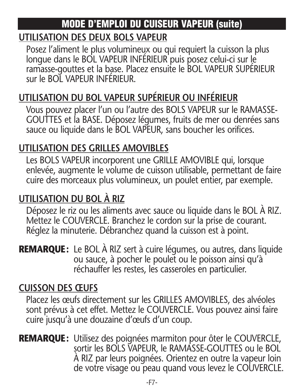### **MODE D'EMPLOI DU CUISEUR VAPEUR (suite)**

#### **UTILISATION DES DEUX BOLS VAPEUR**

Posez l'aliment le plus volumineux ou qui requiert la cuisson la plus longue dans le BOL VAPEUR INFÉRIEUR puis posez celui-ci sur le ramasse-gouttes et la base. Placez ensuite le BOL VAPEUR SUPÉRIEUR sur le BOL VAPEUR INFÉRIEUR.

### **UTILISATION DU BOL VAPEUR SUPÉRIEUR OU INFÉRIEUR**

Vous pouvez placer l'un ou l'autre des BOLS VAPEUR sur le RAMASSE-GOUTTES et la BASE. Déposez légumes, fruits de mer ou denrées sans sauce ou liquide dans le BOL VAPEUR, sans boucher les orifices.

### **UTILISATION DES GRILLES AMOVIBLES**

Les BOLS VAPEUR incorporent une GRILLE AMOVIBLE qui, lorsque enlevée, augmente le volume de cuisson utilisable, permettant de faire cuire des morceaux plus volumineux, un poulet entier, par exemple.

### **UTILISATION DU BOL À RIZ**

Déposez le riz ou les aliments avec sauce ou liquide dans le BOL À RIZ. Mettez le COUVERCLE. Branchez le cordon sur la prise de courant. Réglez la minuterie. Débranchez quand la cuisson est à point.

**REMARQUE:** Le BOL À RIZ sert à cuire légumes, ou autres, dans liquide ou sauce, à pocher le poulet ou le poisson ainsi qu'à réchauffer les restes, les casseroles en particulier.

### **CUISSON DES ŒUFS**

Placez les œufs directement sur les GRILLES AMOVIBLES, des alvéoles sont prévus à cet effet. Mettez le COUVERCLE. Vous pouvez ainsi faire cuire jusqu'à une douzaine d'œufs d'un coup.

**REMARQUE:** Utilisez des poignées marmiton pour ôter le COUVERCLE, sortir les BOLS VAPEUR, le RAMASSE-GOUTTES ou le BOL À RIZ par leurs poignées. Orientez en outre la vapeur loin de votre visage ou peau quand vous levez le COUVERCLE.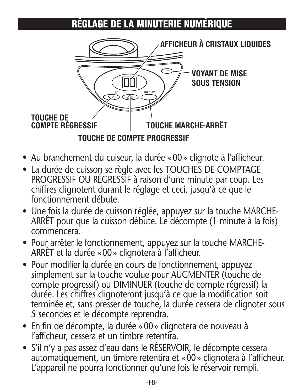# **RÉGLAGE DE LA MINUTERIE NUMÉRIQUE**



- Au branchement du cuiseur, la durée «00» clignote à l'afficheur.
- La durée de cuisson se règle avec les TOUCHES DE COMPTAGE PROGRESSIF OU RÉGRESSIF à raison d'une minute par coup. Les chiffres clignotent durant le réglage et ceci, jusqu'à ce que le fonctionnement débute.
- Une fois la durée de cuisson réglée, appuyez sur la touche MARCHE-ARRÊT pour que la cuisson débute. Le décompte (1 minute à la fois) commencera.
- Pour arrêter le fonctionnement, appuyez sur la touche MARCHE-ARRÊT et la durée «00» clignotera à l'afficheur.
- Pour modifier la durée en cours de fonctionnement, appuyez simplement sur la touche voulue pour AUGMENTER (touche de compte progressif) ou DIMINUER (touche de compte régressif) la durée. Les chiffres clignoteront jusqu'à ce que la modification soit terminée et, sans presser de touche, la durée cessera de clignoter sous 5 secondes et le décompte reprendra.
- En fin de décompte, la durée «00» clignotera de nouveau à l'afficheur, cessera et un timbre retentira.
- S'il n'y a pas assez d'eau dans le RÉSERVOIR, le décompte cessera automatiquement, un timbre retentira et «00» clignotera à l'afficheur. L'appareil ne pourra fonctionner qu'une fois le réservoir rempli.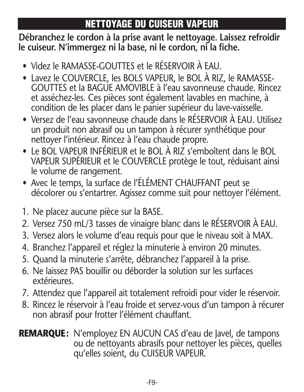# **NETTOYAGE DU CUISEUR VAPEUR**

**Débranchez le cordon à la prise avant le nettoyage. Laissez refroidir le cuiseur. N'immergez ni la base, ni le cordon, ni la fiche.**

- Videz le RAMASSE-GOUTTES et le RÉSERVOIR À EAU.
- Lavez le COUVERCLE, les BOLS VAPEUR, le BOL À RIZ, le RAMASSE-GOUTTES et la BAGUE AMOVIBLE à l'eau savonneuse chaude. Rincez et asséchez-les. Ces pièces sont également lavables en machine, à condition de les placer dans le panier supérieur du lave-vaisselle.
- Versez de l'eau savonneuse chaude dans le RÉSERVOIR À EAU. Utilisez un produit non abrasif ou un tampon à récurer synthétique pour nettoyer l'intérieur. Rincez à l'eau chaude propre.
- Le BOL VAPEUR INFÉRIEUR et le BOL À RIZ s'emboîtent dans le BOL VAPEUR SUPÉRIEUR et le COUVERCLE protège le tout, réduisant ainsi le volume de rangement.
- Avec le temps, la surface de l'ÉLÉMENT CHAUFFANT peut se décolorer ou s'entartrer. Agissez comme suit pour nettoyer l'élément.
- 1. Ne placez aucune pièce sur la BASE.
- 2. Versez 750 mL/3 tasses de vinaigre blanc dans le RÉSERVOIR À EAU.
- 3. Versez alors le volume d'eau requis pour que le niveau soit à MAX.
- 4. Branchez l'appareil et réglez la minuterie à environ 20 minutes.
- 5. Quand la minuterie s'arrête, débranchez l'appareil à la prise.
- 6. Ne laissez PAS bouillir ou déborder la solution sur les surfaces extérieures.
- 7. Attendez que l'appareil ait totalement refroidi pour vider le réservoir.
- 8. Rincez le réservoir à l'eau froide et servez-vous d'un tampon à récurer non abrasif pour frotter l'élément chauffant.
- **REMARQUE:** N'employez EN AUCUN CAS d'eau de Javel, de tampons ou de nettoyants abrasifs pour nettoyer les pièces, quelles qu'elles soient, du CUISEUR VAPEUR.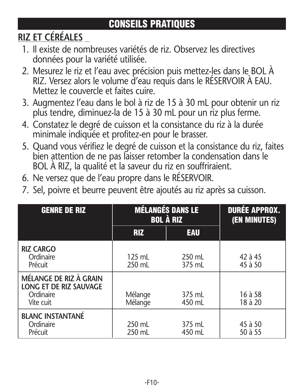# **CONSEILS PRATIQUES**

# **RIZ ET CÉRÉALES**

- 1. Il existe de nombreuses variétés de riz. Observez les directives données pour la variété utilisée.
- 2. Mesurez le riz et l'eau avec précision puis mettez-les dans le BOL À RIZ. Versez alors le volume d'eau requis dans le RÉSERVOIR À EAU. Mettez le couvercle et faites cuire.
- 3. Augmentez l'eau dans le bol à riz de 15 à 30 mL pour obtenir un riz plus tendre, diminuez-la de 15 à 30 mL pour un riz plus ferme.
- 4. Constatez le degré de cuisson et la consistance du riz à la durée minimale indiquée et profitez-en pour le brasser.
- 5. Quand vous vérifiez le degré de cuisson et la consistance du riz, faites bien attention de ne pas laisser retomber la condensation dans le BOL À RIZ, la qualité et la saveur du riz en souffriraient.
- 6. Ne versez que de l'eau propre dans le RÉSERVOIR.
- 7. Sel, poivre et beurre peuvent être ajoutés au riz après sa cuisson.

| <b>GENRE DE RIZ</b>                                                        | <b>MÉLANGÉS DANS LE</b><br><b>BOL À RIZ</b> |                  | <b>DURÉE APPROX.</b><br>(EN MINUTES) |
|----------------------------------------------------------------------------|---------------------------------------------|------------------|--------------------------------------|
|                                                                            | <b>RIZ</b>                                  | <b>EAU</b>       |                                      |
| <b>RIZ CARGO</b><br>Ordinaire<br>Précuit                                   | $125$ mL<br>250 mL                          | 250 mL<br>375 mL | 42 à 45<br>45 à 50                   |
| MÉLANGE DE RIZ À GRAIN<br>LONG ET DE RIZ SAUVAGE<br>Ordinaire<br>Vite cuit | Mélange<br>Mélange                          | 375 mL<br>450 mL | 16 à 58<br>18 à 20                   |
| <b>BLANC INSTANTANÉ</b><br>Ordinaire<br>Précuit                            | 250 mL<br>250 mL                            | 375 mL<br>450 mL | 45 à 50<br>50 à 55                   |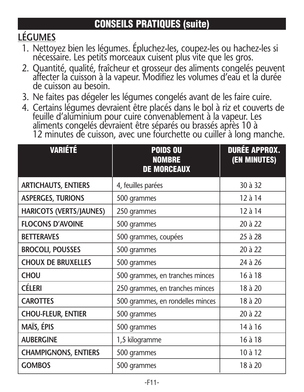# **LÉGUMES**

- 1. Nettoyez bien les légumes. Épluchez-les, coupez-les ou hachez-les si nécessaire. Les petits morceaux cuisent plus vite que les gros.
- 2. Quantité, qualité, fraîcheur et grosseur des aliments congelés peuvent affecter la cuisson à la vapeur. Modifiez les volumes d'eau et la durée de cuisson au besoin.
- 3. Ne faites pas dégeler les légumes congelés avant de les faire cuire.
- 4. Certains légumes devraient être placés dans le bol à riz et couverts de feuille d'aluminium pour cuire convenablement à la vapeur. Les aliments congelés devraient être séparés ou brassés après 10 à 12 minutes de cuisson, avec une fourchette ou cuiller à long manche.

| <b>VARIÉTÉ</b>                 | <b>POIDS OU</b><br><b>NOMBRE</b><br><b>DE MORCEAUX</b> | <b>DURÉE APPROX.</b><br>(EN MINUTES) |
|--------------------------------|--------------------------------------------------------|--------------------------------------|
| <b>ARTICHAUTS, ENTIERS</b>     | 4, feuilles parées                                     | 30 à 32                              |
| <b>ASPERGES, TURIONS</b>       | 500 grammes                                            | $12$ à $14$                          |
| <b>HARICOTS (VERTS/JAUNES)</b> | 250 grammes                                            | 12 à 14                              |
| <b>FLOCONS D'AVOINE</b>        | 500 grammes                                            | 20 à 22                              |
| <b>BETTERAVES</b>              | 500 grammes, coupées                                   | 25 à 28                              |
| <b>BROCOLI, POUSSES</b>        | 500 grammes                                            | 20 à 22                              |
| <b>CHOUX DE BRUXELLES</b>      | 500 grammes                                            | 24 à 26                              |
| <b>CHOU</b>                    | 500 grammes, en tranches minces                        | 16 à 18                              |
| CÉLERI                         | 250 grammes, en tranches minces                        | 18 à 20                              |
| <b>CAROTTES</b>                | 500 grammes, en rondelles minces                       | 18 à 20                              |
| <b>CHOU-FLEUR, ENTIER</b>      | 500 grammes                                            | 20 à 22                              |
| MAÏS, ÉPIS                     | 500 grammes                                            | 14 à 16                              |
| <b>AUBERGINE</b>               | 1,5 kilogramme                                         | 16 à 18                              |
| <b>CHAMPIGNONS, ENTIERS</b>    | 500 grammes                                            | 10 à 12                              |
| <b>GOMBOS</b>                  | 500 grammes                                            | 18 à 20                              |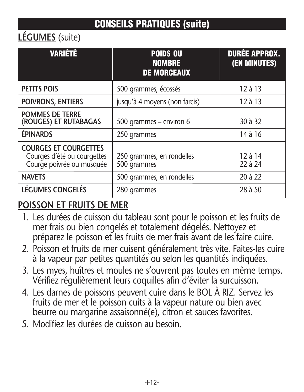## **LÉGUMES** (suite)

| <b>VARIÉTÉ</b>                                                                           | <b>POIDS OU</b><br><b>NOMBRE</b><br><b>DE MORCEAUX</b> | <b>DURÉE APPROX.</b><br>(EN MINUTES) |
|------------------------------------------------------------------------------------------|--------------------------------------------------------|--------------------------------------|
| <b>PETITS POIS</b>                                                                       | 500 grammes, écossés                                   | 12 à 13                              |
| POIVRONS, ENTIERS                                                                        | jusqu'à 4 moyens (non farcis)                          | $12$ à $13$                          |
| <b>POMMES DE TERRE</b><br>(ROUGES) ET RUTABAGAS                                          | 500 grammes - environ 6                                | 30 à 32                              |
| <b>ÉPINARDS</b>                                                                          | 250 grammes                                            | 14 à 16                              |
| <b>COURGES ET COURGETTES</b><br>Courges d'été ou courgettes<br>Courge poivrée ou musquée | 250 grammes, en rondelles<br>500 grammes               | 12 à 14<br>22 à 24                   |
| <b>NAVETS</b>                                                                            | 500 grammes, en rondelles                              | 20 à 22                              |
| LÉGUMES CONGELÉS                                                                         | 280 grammes                                            | 28 à 50                              |

### **POISSON ET FRUITS DE MER**

- 1. Les durées de cuisson du tableau sont pour le poisson et les fruits de mer frais ou bien congelés et totalement dégelés. Nettoyez et préparez le poisson et les fruits de mer frais avant de les faire cuire.
- 2. Poisson et fruits de mer cuisent généralement très vite. Faites-les cuire à la vapeur par petites quantités ou selon les quantités indiquées.
- 3. Les myes, huîtres et moules ne s'ouvrent pas toutes en même temps. Vérifiez régulièrement leurs coquilles afin d'éviter la surcuisson.
- 4. Les darnes de poissons peuvent cuire dans le BOL À RIZ. Servez les fruits de mer et le poisson cuits à la vapeur nature ou bien avec beurre ou margarine assaisonné(e), citron et sauces favorites.
- 5. Modifiez les durées de cuisson au besoin.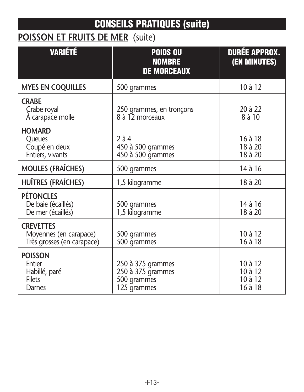## **POISSON ET FRUITS DE MER** (suite)

| <b>VARIÉTÉ</b>                                                           | <b>POIDS OU</b><br><b>NOMBRE</b><br><b>DE MORCEAUX</b>               | <b>DURÉE APPROX.</b><br>(EN MINUTES)     |
|--------------------------------------------------------------------------|----------------------------------------------------------------------|------------------------------------------|
| <b>MYES EN COQUILLES</b>                                                 | 500 grammes                                                          | 10 à 12                                  |
| <b>CRABE</b><br>Crabe royal<br>A carapace molle                          | 250 grammes, en tronçons<br>8 à 12 morceaux                          | 20 à 22<br>8 à 10                        |
| <b>HOMARD</b><br><b>Oueues</b><br>Coupé en deux<br>Entiers, vivants      | $2\lambda 4$<br>450 à 500 grammes<br>450 à 500 grammes               | 16 à 18<br>18 à 20<br>18 à 20            |
| <b>MOULES (FRAÎCHES)</b>                                                 | 500 grammes                                                          | 14 à 16                                  |
| HUÎTRES (FRAÎCHES)                                                       | 1,5 kilogramme                                                       | 18 à 20                                  |
| <b>PÉTONCLES</b><br>De baie (écaillés)<br>De mer (écaillés)              | 500 grammes<br>1,5 kilogramme                                        | 14 à 16<br>18 à 20                       |
| <b>CREVETTES</b><br>Moyennes (en carapace)<br>Très grosses (en carapace) | 500 grammes<br>500 grammes                                           | 10 à 12<br>16 à 18                       |
| <b>POISSON</b><br>Entier<br>Habillé, paré<br>Filets<br>Darnes            | 250 à 375 grammes<br>250 à 375 grammes<br>500 grammes<br>125 grammes | 10 à 12<br>10 à 12<br>10 à 12<br>16 à 18 |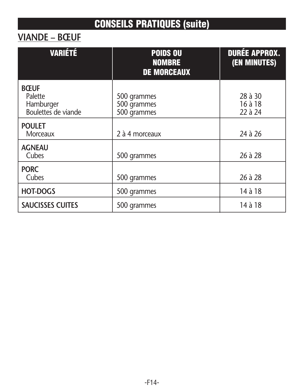## **VIANDE – BŒUF**

| <b>VARIÉTÉ</b>                                             | <b>POIDS OU</b><br><b>NOMBRE</b><br><b>DE MORCEAUX</b> | <b>DURÉE APPROX.</b><br>(EN MINUTES) |
|------------------------------------------------------------|--------------------------------------------------------|--------------------------------------|
| <b>BŒUF</b><br>Palette<br>Hamburger<br>Boulettes de viande | 500 grammes<br>500 grammes<br>500 grammes              | 28 à 30<br>16 à 18<br>22 à 24        |
| <b>POULET</b><br>Morceaux                                  | 2 à 4 morceaux                                         | 24 à 26                              |
| <b>AGNEAU</b><br>Cubes                                     | 500 grammes                                            | 26 à 28                              |
| <b>PORC</b><br>Cubes                                       | 500 grammes                                            | 26 à 28                              |
| <b>HOT-DOGS</b>                                            | 500 grammes                                            | 14 à 18                              |
| <b>SAUCISSES CUITES</b>                                    | 500 grammes                                            | 14 à 18                              |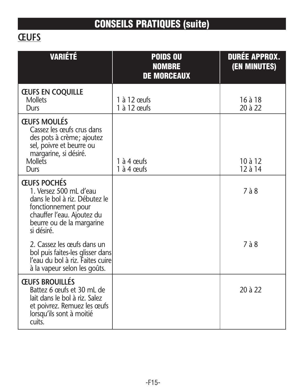# **ŒUFS**

| <b>VARIÉTÉ</b>                                                                                                                                                                | <b>POIDS OU</b><br><b>NOMBRE</b><br><b>DE MORCEAUX</b> | <b>DURÉE APPROX.</b><br>(EN MINUTES) |
|-------------------------------------------------------------------------------------------------------------------------------------------------------------------------------|--------------------------------------------------------|--------------------------------------|
| <b>CEUFS EN COQUILLE</b><br><b>Mollets</b><br>Durs                                                                                                                            | 1 $\grave{a}$ 12 ceufs<br>$1$ à $12$ ceufs             | $16$ à $18$<br>20 à 22               |
| <b>ŒUFS MOULÉS</b><br>Cassez les œufs crus dans<br>des pots à crème; ajoutez<br>sel, poivre et beurre ou<br>margarine, si désiré.<br><b>Mollets</b><br>Durs                   | 1 $\grave{a}$ 4 ceufs<br>1 à 4 œufs                    | $10$ à $12$<br>12 à 14               |
| <b>ŒUFS POCHÉS</b><br>1. Versez 500 mL d'eau<br>dans le bol à riz. Débutez le<br>fonctionnement pour<br>chauffer l'eau. Ajoutez du<br>beurre ou de la margarine<br>si désiré. |                                                        | $7\grave{a}8$                        |
| 2. Cassez les œufs dans un<br>bol puis faites-les glisser dans<br>l'eau du bol à riz. Faites cuire<br>à la vapeur selon les goûts.                                            |                                                        | $7\lambda 8$                         |
| <b>ŒUFS BROUILLÉS</b><br>Battez 6 œufs et 30 mL de<br>lait dans le bol à riz. Salez<br>et poivrez. Remuez les œufs<br>lorsqu'ils sont à moitié<br>cuits.                      |                                                        | 20 à 22                              |